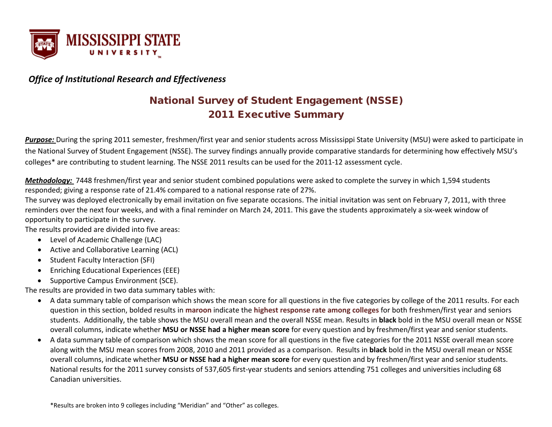

## *Office of Institutional Research and Effectiveness*

# National Survey of Student Engagement (NSSE) 2011 Executive Summary

*Purpose:* During the spring 2011 semester, freshmen/first year and senior students across Mississippi State University (MSU) were asked to participate in the National Survey of Student Engagement (NSSE). The survey findings annually provide comparative standards for determining how effectively MSU's colleges\* are contributing to student learning. The NSSE 2011 results can be used for the 2011-12 assessment cycle.

*Methodology:* 7448 freshmen/first year and senior student combined populations were asked to complete the survey in which 1,594 students responded; giving a response rate of 21.4% compared to a national response rate of 27%.

The survey was deployed electronically by email invitation on five separate occasions. The initial invitation was sent on February 7, 2011, with three reminders over the next four weeks, and with a final reminder on March 24, 2011. This gave the students approximately a six-week window of opportunity to participate in the survey.

The results provided are divided into five areas:

- Level of Academic Challenge (LAC)
- Active and Collaborative Learning (ACL)
- Student Faculty Interaction (SFI)
- Enriching Educational Experiences (EEE)
- Supportive Campus Environment (SCE).

The results are provided in two data summary tables with:

- A data summary table of comparison which shows the mean score for all questions in the five categories by college of the 2011 results. For each question in this section, bolded results in **maroon** indicate the **highest response rate among colleges** for both freshmen/first year and seniors students. Additionally, the table shows the MSU overall mean and the overall NSSE mean. Results in **black** bold in the MSU overall mean or NSSE overall columns, indicate whether **MSU or NSSE had a higher mean score** for every question and by freshmen/first year and senior students.
- A data summary table of comparison which shows the mean score for all questions in the five categories for the 2011 NSSE overall mean score along with the MSU mean scores from 2008, 2010 and 2011 provided as a comparison. Results in **black** bold in the MSU overall mean or NSSE overall columns, indicate whether **MSU or NSSE had a higher mean score** for every question and by freshmen/first year and senior students. National results for the 2011 survey consists of 537,605 first-year students and seniors attending 751 colleges and universities including 68 Canadian universities.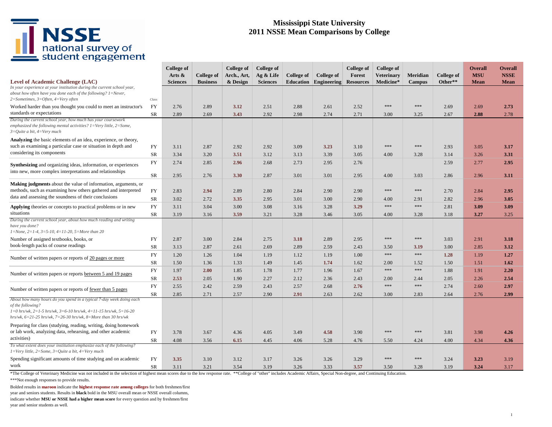# NSSE<br>
national survey of<br>
student engagement

### **Mississippi State University 2011 NSSE Mean Comparisons by College**

|                                                                                                                                                                                                                                                |                 | <b>College of</b><br>Arts & | College of      | <b>College of</b><br>Arch., Art, | <b>College of</b><br>Ag & Life | College of   | College of                   | <b>College of</b><br>Forest | <b>College of</b><br><b>Veterinary</b> | Meridian        | College of<br>Other** | <b>Overall</b><br><b>MSU</b> | <b>Overall</b><br><b>NSSE</b> |
|------------------------------------------------------------------------------------------------------------------------------------------------------------------------------------------------------------------------------------------------|-----------------|-----------------------------|-----------------|----------------------------------|--------------------------------|--------------|------------------------------|-----------------------------|----------------------------------------|-----------------|-----------------------|------------------------------|-------------------------------|
| <b>Level of Academic Challenge (LAC)</b><br>In your experience at your institution during the current school year,<br>about how often have you done each of the following? $1 =$ Never,                                                        |                 | <b>Sciences</b>             | <b>Business</b> | & Design                         | <b>Sciences</b>                |              | <b>Education</b> Engineering | <b>Resources</b>            | Medicine*                              | <b>Campus</b>   |                       | <b>Mean</b>                  | <b>Mean</b>                   |
| $2=Sometimes, 3=Often, 4=Very often$                                                                                                                                                                                                           | Class           |                             |                 |                                  |                                |              |                              |                             | ***                                    | $* * *$         |                       |                              |                               |
| Worked harder than you thought you could to meet an instructor's<br>standards or expectations                                                                                                                                                  | FY<br><b>SR</b> | 2.76<br>2.89                | 2.89<br>2.69    | 3.12<br>3.43                     | 2.51<br>2.92                   | 2.88<br>2.98 | 2.61<br>2.74                 | 2.52<br>2.71                | 3.00                                   | 3.25            | 2.69<br>2.67          | 2.69<br>2.88                 | 2.73<br>2.78                  |
| During the current school year, how much has your coursework<br>emphasized the following mental activities? $1 = \text{Very little}, 2 = \text{Some},$<br>$3=Quite$ a bit, $4=Verv$ much                                                       |                 |                             |                 |                                  |                                |              |                              |                             |                                        |                 |                       |                              |                               |
| Analyzing the basic elements of an idea, experience, or theory,<br>such as examining a particular case or situation in depth and                                                                                                               | <b>FY</b>       | 3.11                        | 2.87            | 2.92                             | 2.92                           | 3.09         | 3.23                         | 3.10                        | ***                                    | ***             | 2.93                  | 3.05                         | 3.17                          |
| considering its components                                                                                                                                                                                                                     | SR              | 3.34                        | 3.20            | 3.51                             | 3.12                           | 3.13         | 3.39                         | 3.05                        | 4.00                                   | 3.28            | 3.14                  | 3.26                         | 3.31                          |
| <b>Synthesizing</b> and organizing ideas, information, or experiences<br>into new, more complex interpretations and relationships                                                                                                              | <b>FY</b>       | 2.74                        | 2.85            | 2.96                             | 2.68                           | 2.73         | 2.95                         | 2.76                        |                                        |                 | 2.59                  | 2.77                         | 2.95                          |
|                                                                                                                                                                                                                                                | <b>SR</b>       | 2.95                        | 2.76            | 3.30                             | 2.87                           | 3.01         | 3.01                         | 2.95                        | 4.00                                   | 3.03            | 2.86                  | 2.96                         | 3.11                          |
| Making judgments about the value of information, arguments, or<br>methods, such as examining how others gathered and interpreted<br>data and assessing the soundness of their conclusions                                                      | <b>FY</b>       | 2.83                        | 2.94            | 2.89                             | 2.80                           | 2.84         | 2.90                         | 2.90                        | ***                                    | $* * *$         | 2.70                  | 2.84                         | 2.95                          |
|                                                                                                                                                                                                                                                | SR              | 3.02                        | 2.72            | 3.35                             | 2.95                           | 3.01         | 3.00                         | 2.90                        | 4.00                                   | 2.91            | 2.82                  | 2.96                         | 3.05                          |
| <b>Applying</b> theories or concepts to practical problems or in new<br>situations                                                                                                                                                             | FY              | 3.11                        | 3.04            | 3.00                             | 3.08                           | 3.16         | 3.28                         | 3.29                        | ***                                    | $* * *$         | 2.81                  | 3.09                         | 3.09                          |
| During the current school year, about how much reading and writing<br>have you done?<br>$1 = None$ , $2 = 1-4$ , $3 = 5-10$ , $4 = 11-20$ , $5 = More than 20$                                                                                 | SR              | 3.19                        | 3.16            | 3.59                             | 3.21                           | 3.28         | 3.46                         | 3.05                        | 4.00                                   | 3.28            | 3.18                  | 3.27                         | 3.25                          |
| Number of assigned textbooks, books, or                                                                                                                                                                                                        | <b>FY</b>       | 2.87                        | 3.00            | 2.84                             | 2.75                           | 3.18         | 2.89                         | 2.95                        | ***                                    | $\ast$          | 3.03                  | 2.91                         | 3.18                          |
| book-length packs of course readings                                                                                                                                                                                                           | <b>SR</b>       | 3.13                        | 2.87            | 2.61                             | 2.69                           | 2.89         | 2.59                         | 2.43                        | 3.50                                   | 3.19            | 3.00                  | 2.85                         | 3.12                          |
| Number of written papers or reports of 20 pages or more                                                                                                                                                                                        | <b>FY</b><br>SR | 1.20<br>1.50                | 1.26<br>1.36    | 1.04<br>1.33                     | 1.19<br>1.49                   | 1.12<br>1.45 | 1.19<br>1.74                 | 1.00<br>1.62                | ***<br>2.00                            | $* * *$<br>1.52 | 1.28<br>1.50          | 1.19<br>1.51                 | 1.27<br>1.62                  |
|                                                                                                                                                                                                                                                | FY              | 1.97                        | 2.00            | 1.85                             | 1.78                           | 1.77         | 1.96                         | 1.67                        | ***                                    | $* * *$         | 1.88                  | 1.91                         | 2.20                          |
| Number of written papers or reports between 5 and 19 pages                                                                                                                                                                                     | SR              | 2.53                        | 2.05            | 1.90                             | 2.27                           | 2.12         | 2.36                         | 2.43                        | 2.00                                   | 2.44            | 2.05                  | 2.26                         | 2.54                          |
|                                                                                                                                                                                                                                                | FY              | 2.55                        | 2.42            | 2.59                             | 2.43                           | 2.57         | 2.68                         | 2.76                        | ***                                    | $* * *$         | 2.74                  | 2.60                         | 2.97                          |
| Number of written papers or reports of fewer than 5 pages                                                                                                                                                                                      | SR              | 2.85                        | 2.71            | 2.57                             | 2.90                           | 2.91         | 2.63                         | 2.62                        | 3.00                                   | 2.83            | 2.64                  | 2.76                         | 2.99                          |
| About how many hours do you spend in a typical 7-day week doing each<br>of the following?<br>$1=0$ hrs/wk, $2=1-5$ hrs/wk, $3=6-10$ hrs/wk, $4=11-15$ hrs/wk, $5=16-20$<br>hrs/wk, $6=21-25$ hrs/wk, $7=26-30$ hrs/wk, $8=More$ than 30 hrs/wk |                 |                             |                 |                                  |                                |              |                              |                             |                                        |                 |                       |                              |                               |
| Preparing for class (studying, reading, writing, doing homework<br>or lab work, analyzing data, rehearsing, and other academic                                                                                                                 | FY              | 3.78                        | 3.67            | 4.36                             | 4.05                           | 3.49         | 4.58                         | 3.90                        | ***                                    | $* * *$         | 3.81                  | 3.98                         | 4.26                          |
| activities)                                                                                                                                                                                                                                    | SR              | 4.08                        | 3.56            | 6.15                             | 4.45                           | 4.06         | 5.28                         | 4.76                        | 5.50                                   | 4.24            | 4.00                  | 4.34                         | 4.36                          |
| To what extent does your institution emphasize each of the following?<br>$1=$ Very little, $2=$ Some, $3=$ Quite a bit, $4=$ Very much                                                                                                         |                 |                             |                 |                                  |                                |              |                              |                             |                                        |                 |                       |                              |                               |
| Spending significant amounts of time studying and on academic<br>work                                                                                                                                                                          | FY<br><b>SR</b> | 3.35<br>3.11                | 3.10<br>3.21    | 3.12<br>3.54                     | 3.17<br>3.19                   | 3.26<br>3.26 | 3.26<br>3.33                 | 3.29<br>3.57                | ***<br>3.50                            | ***<br>3.28     | 3.24<br>3.19          | 3.23<br>3.24                 | 3.19<br>3.17                  |

\*The College of Veterinary Medicine was not included in the selection of highest mean scores due to the low response rate. \*\*College of "other" includes Academic Affairs, Special Non-degree, and Continuing Education.

\*\*\*Not enough responses to provide results.

Bolded results in **maroon** indicate the **highest response rate among colleges** for both freshmen/first

year and seniors students. Results in **black** bold in the MSU overall mean or NSSE overall columns, indicate whether **MSU or NSSE had a higher mean score** for every question and by freshmen/first year and senior students as well.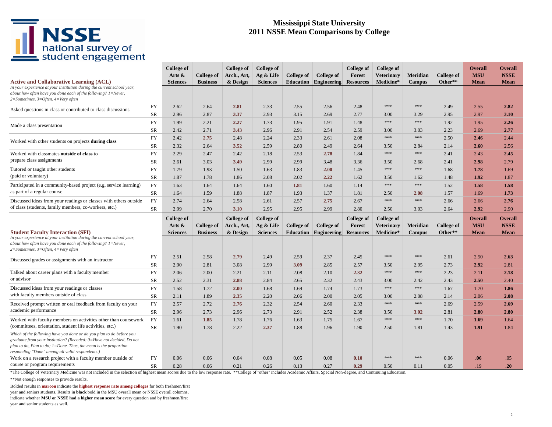

### **Mississippi State University 2011 NSSE Mean Comparisons by College**

|                                                                                                                                                                                                                                                                         |                 | <b>College of</b><br>Arts $\&$ | <b>College of</b> | <b>College of</b><br>Arch., Art, | <b>College of</b><br>Ag & Life | College of   | <b>College of</b>            | <b>College of</b><br>Forest | College of<br><b>Veterinary</b> | Meridian        | <b>College of</b>            | <b>Overall</b><br><b>MSU</b> | <b>Overall</b><br><b>NSSE</b> |
|-------------------------------------------------------------------------------------------------------------------------------------------------------------------------------------------------------------------------------------------------------------------------|-----------------|--------------------------------|-------------------|----------------------------------|--------------------------------|--------------|------------------------------|-----------------------------|---------------------------------|-----------------|------------------------------|------------------------------|-------------------------------|
| <b>Active and Collaborative Learning (ACL)</b><br>In your experience at your institution during the current school year,<br>about how often have you done each of the following? $1 =$ Never,<br>$2=Sometimes, 3=Often, 4=Very often$                                   |                 | <b>Sciences</b>                | <b>Business</b>   | & Design                         | <b>Sciences</b>                |              | <b>Education</b> Engineering | <b>Resources</b>            | Medicine*                       | <b>Campus</b>   | Other**                      | <b>Mean</b>                  | <b>Mean</b>                   |
| Asked questions in class or contributed to class discussions                                                                                                                                                                                                            | FY              | 2.62                           | 2.64              | 2.81                             | 2.33                           | 2.55         | 2.56                         | 2.48                        | $***$                           | $* * *$         | 2.49                         | 2.55                         | 2.82                          |
|                                                                                                                                                                                                                                                                         | SR              | 2.96                           | 2.87              | 3.37                             | 2.93                           | 3.15         | 2.69                         | 2.77                        | 3.00<br>$***$                   | 3.29<br>***     | 2.95                         | 2.97                         | 3.10                          |
| Made a class presentation                                                                                                                                                                                                                                               | FY              | 1.99                           | 2.21              | 2.27                             | 1.73                           | 1.95         | 1.91                         | 1.48                        |                                 |                 | 1.92                         | 1.95                         | 2.26                          |
|                                                                                                                                                                                                                                                                         | SR<br><b>FY</b> | 2.42<br>2.42                   | 2.71<br>2.75      | 3.43<br>2.48                     | 2.96<br>2.24                   | 2.91<br>2.33 | 2.54<br>2.61                 | 2.59<br>2.08                | 3.00<br>$***$                   | 3.03<br>***     | 2.23<br>2.50                 | 2.69<br>2.46                 | 2.77<br>2.44                  |
| Worked with other students on projects during class                                                                                                                                                                                                                     | SR              | 2.32                           | 2.64              | 3.52                             | 2.59                           | 2.80         | 2.49                         | 2.64                        | 3.50                            |                 | 2.14                         | 2.60                         | 2.56                          |
| Worked with classmates outside of class to                                                                                                                                                                                                                              | <b>FY</b>       | 2.29                           | 2.47              | 2.42                             | 2.18                           | 2.53         | 2.78                         | 1.84                        | $***$                           | 2.84<br>$* * *$ | 2.41                         | 2.43                         | 2.45                          |
| prepare class assignments                                                                                                                                                                                                                                               | SR              | 2.61                           | 3.03              | 3.49                             | 2.99                           | 2.99         | 3.48                         | 3.36                        | 3.50                            | 2.68            | 2.41                         | 2.98                         | 2.79                          |
| Tutored or taught other students                                                                                                                                                                                                                                        | FY              | 1.79                           | 1.93              | 1.50                             | 1.63                           | 1.83         | 2.00                         | 1.45                        | $***$                           | ***             | 1.68                         | 1.78                         | 1.69                          |
| (paid or voluntary)                                                                                                                                                                                                                                                     | SR              | 1.87                           | 1.78              | 1.86                             | 2.08                           | 2.02         | 2.22                         | 1.62                        | 3.50                            | 1.62            | 1.48                         | 1.92                         | 1.87                          |
| Participated in a community-based project (e.g. service learning)                                                                                                                                                                                                       | FY              | 1.63                           | 1.64              | 1.64                             | 1.60                           | 1.81         | 1.60                         | 1.14                        | ***                             | ***             | 1.52                         | 1.58                         | 1.58                          |
| as part of a regular course                                                                                                                                                                                                                                             | SR              | 1.64                           | 1.59              | 1.88                             | 1.87                           | 1.93         | 1.37                         | 1.81                        | 2.50                            | 2.08            | 1.57                         | 1.69                         | 1.73                          |
| Discussed ideas from your readings or classes with others outside                                                                                                                                                                                                       | <b>FY</b>       | 2.74                           | 2.64              | 2.58                             | 2.61                           | 2.57         | 2.75                         | 2.67                        | ***                             | $* * *$         | 2.66                         | 2.66                         | 2.76                          |
| of class (students, family members, co-workers, etc.)                                                                                                                                                                                                                   | <b>SR</b>       | 2.99                           | 2.70              | 3.10                             | 2.95                           | 2.95         | 2.99                         | 2.80                        | 2.50                            | 3.03            | 2.64                         | 2.92                         | 2.90                          |
|                                                                                                                                                                                                                                                                         |                 |                                |                   |                                  |                                |              |                              |                             |                                 |                 |                              |                              |                               |
|                                                                                                                                                                                                                                                                         |                 | <b>College of</b>              |                   | <b>College of</b>                | <b>College of</b>              |              |                              | <b>College of</b>           | <b>College of</b>               |                 |                              | Overall                      | <b>Overall</b>                |
|                                                                                                                                                                                                                                                                         |                 |                                |                   |                                  |                                |              |                              |                             |                                 |                 |                              |                              |                               |
| <b>Student Faculty Interaction (SFI)</b>                                                                                                                                                                                                                                |                 | Arts $\&$                      | College of        | Arch., Art,                      | Ag & Life                      | College of   | <b>College of</b>            | Forest                      | <b>Veterinary</b>               | Meridian        | <b>College of</b><br>Other** | <b>MSU</b><br><b>Mean</b>    | <b>NSSE</b><br><b>Mean</b>    |
| In your experience at your institution during the current school year,<br>about how often have you done each of the following? $1 =$ Never,<br>2=Sometimes, 3=Often, 4=Very often                                                                                       |                 | <b>Sciences</b>                | <b>Business</b>   | & Design                         | <b>Sciences</b>                |              | <b>Education</b> Engineering | <b>Resources</b>            | Medicine*                       | <b>Campus</b>   |                              |                              |                               |
|                                                                                                                                                                                                                                                                         | FY              | 2.51                           | 2.58              | 2.79                             | 2.49                           | 2.59         | 2.37                         | 2.45                        | $*\ast\ast$                     | $* * *$         | 2.61                         | 2.50                         | 2.63                          |
| Discussed grades or assignments with an instructor                                                                                                                                                                                                                      | SR              | 2.90                           | 2.81              | 3.08                             | 2.99                           | 3.09         | 2.85                         | 2.57                        | 3.50                            | 2.95            | 2.73                         | 2.92                         | 2.81                          |
| Talked about career plans with a faculty member                                                                                                                                                                                                                         | FY              | 2.06                           | 2.00              | 2.21                             | 2.11                           | 2.08         | 2.10                         | 2.32                        | ***                             | $****$          | 2.23                         | 2.11                         | 2.18                          |
| or advisor                                                                                                                                                                                                                                                              | SR              | 2.52                           | 2.31              | 2.88                             | 2.84                           | 2.65         | 2.32                         | 2.43                        | 3.00                            | 2.42            | 2.43                         | 2.50                         | 2.40                          |
| Discussed ideas from your readings or classes                                                                                                                                                                                                                           | FY              | 1.58                           | 1.72              | 2.00                             | 1.68                           | 1.69         | 1.74                         | 1.73                        | $***$                           | $\ast\ast\ast$  | 1.67                         | 1.70                         | 1.86                          |
| with faculty members outside of class                                                                                                                                                                                                                                   | <b>SR</b>       | 2.11                           | 1.89              | 2.35                             | 2.20                           | 2.06         | 2.00                         | 2.05                        | 3.00                            | 2.08            | 2.14                         | 2.06                         | 2.08                          |
| Received prompt written or oral feedback from faculty on your                                                                                                                                                                                                           | FY              | 2.57                           | 2.72              | 2.76                             | 2.32                           | 2.54         | 2.60                         | 2.33                        | $***$                           | ***             | 2.69                         | 2.59                         | 2.69                          |
| academic performance                                                                                                                                                                                                                                                    | <b>SR</b>       | 2.96                           | 2.73              | 2.96                             | 2.73                           | 2.91         | 2.52                         | 2.38                        | 3.50                            | 3.02            | 2.81                         | 2.80                         | 2.80                          |
| Worked with faculty members on activities other than coursework                                                                                                                                                                                                         | <b>FY</b>       | 1.61                           | 1.85              | 1.78                             | 1.76                           | 1.63         | 1.75                         | 1.67                        | ***                             | $****$          | 1.70                         | 1.69                         | 1.64                          |
| (committees, orientation, student life activities, etc.)                                                                                                                                                                                                                | SR              | 1.90                           | 1.78              | 2.22                             | 2.37                           | 1.88         | 1.96                         | 1.90                        | 2.50                            | 1.81            | 1.43                         | 1.91                         | 1.84                          |
| Which of the following have you done or do you plan to do before you<br>graduate from your institution? (Recoded: 0=Have not decided, Do not<br>plan to do, Plan to do; $1 =$ Done. Thus, the mean is the proportion<br>responding "Done" among all valid respondents.) |                 |                                |                   |                                  |                                |              |                              |                             |                                 |                 |                              |                              |                               |
| Work on a research project with a faculty member outside of<br>course or program requirements                                                                                                                                                                           | FY<br>SR        | 0.06<br>0.28                   | 0.06<br>0.06      | 0.04<br>0.21                     | 0.08<br>0.26                   | 0.05<br>0.13 | 0.08<br>0.27                 | 0.10<br>0.29                | ***<br>0.50                     | ***<br>0.11     | 0.06<br>0.05                 | .06<br>.19                   | .05<br>.20                    |

\*The College of Veterinary Medicine was not included in the selection of highest mean scores due to the low response rate. \*\*College of "other" includes Academic Affairs, Special Non-degree, and Continuing Education.

\*\*Not enough responses to provide results.

Bolded results in **maroon** indicate the **highest response rate among colleges** for both freshmen/first

year and seniors students. Results in **black** bold in the MSU overall mean or NSSE overall columns, indicate whether **MSU or NSSE had a higher mean score** for every question and by freshmen/first year and senior students as well.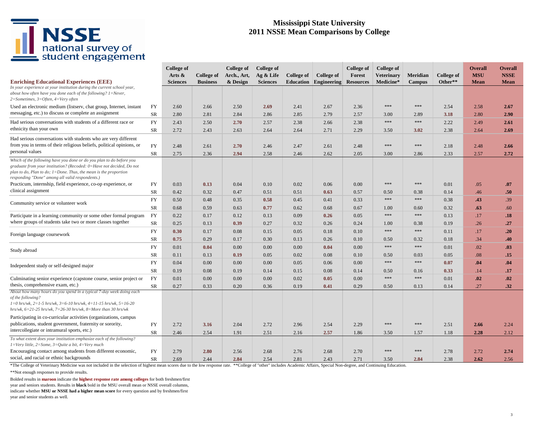# NSSE<br>
national survey of<br>
student engagement

### **Mississippi State University 2011 NSSE Mean Comparisons by College**

| <b>Enriching Educational Experiences (EEE)</b>                                                                                                                                                                                                                          |                        | <b>College of</b><br>Arts $\&$<br><b>Sciences</b> | College of<br><b>Business</b> | College of<br>Arch., Art,<br>& Design | College of<br>Ag & Life<br><b>Sciences</b> | College of<br>Education | College of<br>Engineering | College of<br>Forest<br><b>Resources</b> | College of<br><b>Veterinary</b><br>Medicine* | Meridian            | College of<br>Other** | <b>Overall</b><br><b>MSU</b><br><b>Mean</b> | <b>Overall</b><br><b>NSSE</b><br><b>Mean</b> |
|-------------------------------------------------------------------------------------------------------------------------------------------------------------------------------------------------------------------------------------------------------------------------|------------------------|---------------------------------------------------|-------------------------------|---------------------------------------|--------------------------------------------|-------------------------|---------------------------|------------------------------------------|----------------------------------------------|---------------------|-----------------------|---------------------------------------------|----------------------------------------------|
| In your experience at your institution during the current school year,<br>about how often have you done each of the following? 1=Never,<br>$2=Sometimes, 3=Often, 4=Very$ often                                                                                         |                        |                                                   |                               |                                       |                                            |                         |                           |                                          |                                              | <b>Campus</b>       |                       |                                             |                                              |
| Used an electronic medium (listserv, chat group, Internet, instant<br>messaging, etc.) to discuss or complete an assignment                                                                                                                                             | <b>FY</b><br><b>SR</b> | 2.60<br>2.80                                      | 2.66<br>2.81                  | 2.50<br>2.84                          | 2.69<br>2.86                               | 2.41<br>2.85            | 2.67<br>2.79              | 2.36<br>2.57                             | $\ast\ast\ast$<br>3.00                       | $* * *$<br>2.89     | 2.54<br>3.18          | 2.58<br>2.80                                | 2.67<br>2.90                                 |
| Had serious conversations with students of a different race or<br>ethnicity than your own                                                                                                                                                                               | FY<br><b>SR</b>        | 2.43<br>2.72                                      | 2.50<br>2.43                  | 2.70<br>2.63                          | 2.57<br>2.64                               | 2.38<br>2.64            | 2.66<br>2.71              | 2.38<br>2.29                             | $* * *$<br>3.50                              | $* * *$<br>3.02     | 2.22<br>2.38          | 2.49<br>2.64                                | 2.61<br>2.69                                 |
| Had serious conversations with students who are very different<br>from you in terms of their religious beliefs, political opinions, or<br>personal values                                                                                                               | <b>FY</b><br><b>SR</b> | 2.48<br>2.75                                      | 2.61<br>2.36                  | 2.70<br>2.94                          | 2.46<br>2.58                               | 2.47<br>2.46            | 2.61<br>2.62              | 2.48<br>2.05                             | ***<br>3.00                                  | $* * *$<br>2.86     | 2.18<br>2.33          | 2.48<br>2.57                                | 2.66<br>2.72                                 |
| Which of the following have you done or do you plan to do before you<br>graduate from your institution? (Recoded: 0=Have not decided, Do not<br>plan to do, Plan to do; $1 =$ Done. Thus, the mean is the proportion<br>responding "Done" among all valid respondents.) |                        |                                                   |                               |                                       |                                            |                         |                           |                                          |                                              |                     |                       |                                             |                                              |
| Practicum, internship, field experience, co-op experience, or<br>clinical assignment                                                                                                                                                                                    | FY<br>SR               | 0.03<br>0.42                                      | 0.13<br>0.32                  | 0.04<br>0.47                          | 0.10<br>0.51                               | 0.02<br>0.51            | 0.06<br>0.63              | 0.00<br>0.57                             | $* * *$<br>0.50                              | ***<br>0.38         | 0.01<br>0.14          | .05<br>.46                                  | .07<br>.50                                   |
| Community service or volunteer work                                                                                                                                                                                                                                     | <b>FY</b><br>SR        | 0.50<br>0.68                                      | 0.48<br>0.59                  | 0.35<br>0.63                          | 0.58<br>0.77                               | 0.45<br>0.62            | 0.41<br>0.68              | 0.33<br>0.67                             | $\gg\gg$<br>1.00                             | ***<br>0.60         | 0.38<br>0.32          | .43<br>.63                                  | .39<br>.60                                   |
| Participate in a learning community or some other formal program<br>where groups of students take two or more classes together                                                                                                                                          | FY<br>SR               | 0.22<br>0.25                                      | 0.17<br>0.13                  | 0.12<br>0.39                          | 0.13<br>0.27                               | 0.09<br>0.32            | 0.26<br>0.26              | 0.05<br>0.24                             | $\ast\ast\ast$<br>1.00                       | ***<br>0.38         | 0.13<br>0.19          | .17<br>.26                                  | .18<br>.27                                   |
| Foreign language coursework                                                                                                                                                                                                                                             | FY<br><b>SR</b>        | 0.30<br>0.75                                      | 0.17<br>0.29                  | 0.08<br>0.17                          | 0.15<br>0.30                               | 0.05<br>0.13            | 0.18<br>0.26              | 0.10<br>0.10                             | ***<br>0.50                                  | ***<br>0.32         | 0.11<br>0.18          | .17<br>.34                                  | .20<br>.40                                   |
| Study abroad                                                                                                                                                                                                                                                            | FY<br>SR               | 0.01<br>0.11                                      | 0.04<br>0.13                  | 0.00<br>0.19                          | 0.00<br>0.05                               | 0.00<br>0.02            | 0.04<br>0.08              | 0.00<br>0.10                             | $\gg\gg$<br>0.50                             | ***<br>0.03         | 0.01<br>0.05          | .02<br>.08                                  | .03<br>.15                                   |
| Independent study or self-designed major                                                                                                                                                                                                                                | <b>FY</b><br><b>SR</b> | 0.04                                              | 0.00                          | 0.00<br>0.19                          | 0.00                                       | 0.05                    | 0.06                      | 0.00<br>0.14                             | $* * *$                                      | ***                 | 0.07                  | .04                                         | .04                                          |
| Culminating senior experience (capstone course, senior project or<br>thesis, comprehensive exam, etc.)                                                                                                                                                                  | FY<br>SR               | 0.19<br>0.01<br>0.27                              | 0.08<br>0.00<br>0.33          | 0.00<br>0.20                          | 0.14<br>0.00<br>0.36                       | 0.15<br>0.02<br>0.19    | 0.08<br>0.05<br>0.41      | 0.00<br>0.29                             | 0.50<br>$* * *$<br>0.50                      | 0.16<br>***<br>0.13 | 0.33<br>0.01<br>0.14  | .14<br>.02<br>.27                           | .17<br>.02<br>.32                            |
| About how many hours do you spend in a typical 7-day week doing each<br>of the following?<br>$1=0$ hrs/wk, $2=1-5$ hrs/wk, $3=6-10$ hrs/wk, $4=11-15$ hrs/wk, $5=16-20$<br>hrs/wk, $6=21-25$ hrs/wk, $7=26-30$ hrs/wk, $8=$ More than 30 hrs/wk                         |                        |                                                   |                               |                                       |                                            |                         |                           |                                          |                                              |                     |                       |                                             |                                              |
| Participating in co-curricular activities (organizations, campus<br>publications, student government, fraternity or sorority,<br>intercollegiate or intramural sports, etc.)                                                                                            | <b>FY</b><br>SR        | 2.72<br>2.46                                      | 3.16<br>2.54                  | 2.04<br>1.91                          | 2.72<br>2.51                               | 2.96<br>2.16            | 2.54<br>2.57              | 2.29<br>1.86                             | $\ast\ast\ast$<br>3.50                       | $* * *$<br>1.57     | 2.51<br>1.18          | 2.66<br>2.28                                | 2.24<br>2.12                                 |
| To what extent does your institution emphasize each of the following?<br>$1=$ Very little, $2=$ Some, $3=$ Quite a bit, $4=$ Very much                                                                                                                                  |                        |                                                   |                               |                                       |                                            |                         |                           |                                          |                                              |                     |                       |                                             |                                              |
| Encouraging contact among students from different economic,<br>social, and racial or ethnic backgrounds                                                                                                                                                                 | FY<br><b>SR</b>        | 2.79<br>2.69                                      | 2.80<br>2.44                  | 2.56<br>2.84                          | 2.68<br>2.54                               | 2.76<br>2.81            | 2.68<br>2.43              | 2.70<br>2.71                             | ***<br>3.50                                  | ***<br>2.84         | 2.78<br>2.38          | 2.72<br>2.62                                | 2.74<br>2.56                                 |

\*The College of Veterinary Medicine was not included in the selection of highest mean scores due to the low response rate. \*\*College of "other" includes Academic Affairs, Special Non-degree, and Continuing Education.

\*\*Not enough responses to provide results.

Bolded results in **maroon** indicate the **highest response rate among colleges** for both freshmen/first

year and seniors students. Results in **black** bold in the MSU overall mean or NSSE overall columns,

indicate whether **MSU or NSSE had a higher mean score** for every question and by freshmen/first year and senior students as well.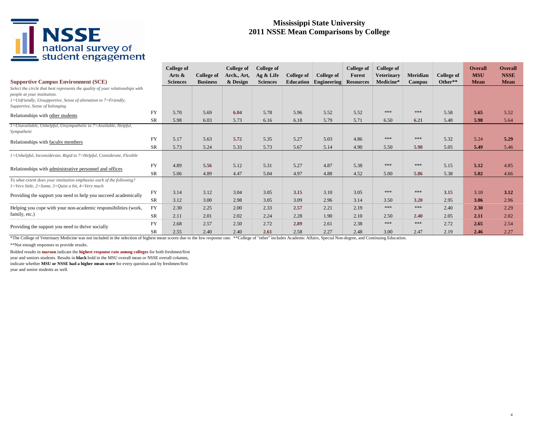# NSSE<br>
national survey of<br>
student engagement

### **Mississippi State University 2011 NSSE Mean Comparisons by College**

| <b>Supportive Campus Environment (SCE)</b>                                                                                                                                                                                 |           | <b>College of</b><br>Arts $\&$<br><b>Sciences</b> | <b>College of</b><br><b>Business</b> | College of<br>Arch., Art,<br>& Design | <b>College of</b><br>Ag & Life<br><b>Sciences</b> | College of<br>Education | <b>College of</b><br>Engineering | College of<br>Forest<br><b>Resources</b> | <b>College of</b><br><b>Veterinary</b><br>Medicine* | Meridian<br><b>Campus</b> | <b>College of</b><br>Other** | <b>Overall</b><br><b>MSU</b><br>Mean | <b>Overall</b><br><b>NSSE</b><br><b>Mean</b> |
|----------------------------------------------------------------------------------------------------------------------------------------------------------------------------------------------------------------------------|-----------|---------------------------------------------------|--------------------------------------|---------------------------------------|---------------------------------------------------|-------------------------|----------------------------------|------------------------------------------|-----------------------------------------------------|---------------------------|------------------------------|--------------------------------------|----------------------------------------------|
| Select the circle that best represents the quality of your relationships with<br>people at your institution.<br>$1 = Unfriendly$ , Unsupportive, Sense of alienation to $7 = Friendly$ ,<br>Supportive, Sense of belonging |           |                                                   |                                      |                                       |                                                   |                         |                                  |                                          |                                                     |                           |                              |                                      |                                              |
| Relationships with other students                                                                                                                                                                                          | <b>FY</b> | 5.70                                              | 5.69                                 | 6.04                                  | 5.78                                              | 5.96                    | 5.52                             | 5.52                                     | ***                                                 | ***                       | 5.58                         | 5.65                                 | 5.52                                         |
|                                                                                                                                                                                                                            | <b>SR</b> | 5.98                                              | 6.03                                 | 5.73                                  | 6.16                                              | 6.18                    | 5.79                             | 5.71                                     | 6.50                                                | 6.21                      | 5.48                         | 5.98                                 | 5.64                                         |
| 1=Unavailable, Unhelpful, Unsympathetic to 7=Available, Helpful,<br>Sympathetic                                                                                                                                            |           |                                                   |                                      |                                       |                                                   |                         |                                  |                                          |                                                     |                           |                              |                                      |                                              |
| Relationships with faculty members                                                                                                                                                                                         | <b>FY</b> | 5.17                                              | 5.63                                 | 5.72                                  | 5.35                                              | 5.27                    | 5.03                             | 4.86                                     | ***                                                 | ***                       | 5.32                         | 5.24                                 | 5.29                                         |
|                                                                                                                                                                                                                            | <b>SR</b> | 5.73                                              | 5.24                                 | 5.33                                  | 5.73                                              | 5.67                    | 5.14                             | 4.90                                     | 5.50                                                | 5.98                      | 5.05                         | 5.49                                 | 5.46                                         |
| 1=Unhelpful, Inconsiderate, Rigid to 7=Helpful, Considerate, Flexible                                                                                                                                                      |           |                                                   |                                      |                                       |                                                   |                         |                                  |                                          |                                                     |                           |                              |                                      |                                              |
| Relationships with administrative personnel and offices                                                                                                                                                                    | FY        | 4.89                                              | 5.56                                 | 5.12                                  | 5.31                                              | 5.27                    | 4.87                             | 5.38                                     | ***                                                 | ***                       | 5.15                         | 5.12                                 | 4.85                                         |
|                                                                                                                                                                                                                            | SR        | 5.06                                              | 4.89                                 | 4.47                                  | 5.04                                              | 4.97                    | 4.88                             | 4.52                                     | 5.00                                                | 5.86                      | 5.38                         | 5.02                                 | 4.66                                         |
| To what extent does your institution emphasize each of the following?<br>$1=$ Very little, $2=$ Some, $3=$ Ouite a bit, $4=$ Very much                                                                                     |           |                                                   |                                      |                                       |                                                   |                         |                                  |                                          |                                                     |                           |                              |                                      |                                              |
| Providing the support you need to help you succeed academically                                                                                                                                                            | <b>FY</b> | 3.14                                              | 3.12                                 | 3.04                                  | 3.05                                              | 3.15                    | 3.10                             | 3.05                                     | ***                                                 | ***                       | 3.15                         | 3.10                                 | 3.12                                         |
|                                                                                                                                                                                                                            | <b>SR</b> | 3.12                                              | 3.00                                 | 2.98                                  | 3.05                                              | 3.09                    | 2.96                             | 3.14                                     | 3.50                                                | 3.20                      | 2.95                         | 3.06                                 | 2.96                                         |
| Helping you cope with your non-academic responsibilities (work,                                                                                                                                                            | FY        | 2.30                                              | 2.25                                 | 2.00                                  | 2.33                                              | 2.57                    | 2.21                             | 2.19                                     | ***                                                 | ***                       | 2.40                         | 2.30                                 | 2.29                                         |
| family, etc.)                                                                                                                                                                                                              | <b>SR</b> | 2.11                                              | 2.01                                 | 2.02                                  | 2.24                                              | 2.28                    | 1.90                             | 2.10                                     | 2.50                                                | 2.40                      | 2.05                         | 2.11                                 | 2.02                                         |
| Providing the support you need to thrive socially                                                                                                                                                                          | <b>FY</b> | 2.68                                              | 2.57                                 | 2.50                                  | 2.72                                              | 2.89                    | 2.61                             | 2.38                                     | ***                                                 | ***                       | 2.72                         | 2.65                                 | 2.54                                         |
|                                                                                                                                                                                                                            | SR        | 2.55                                              | 2.40                                 | 2.40                                  | 2.61                                              | 2.58                    | 2.27                             | 2.48                                     | 3.00                                                | 2.47                      | 2.19                         | 2.46                                 | 2.27                                         |

\*The College of Veterinary Medicine was not included in the selection of highest mean scores due to the low response rate. \*\*College of "other" includes Academic Affairs, Special Non-degree, and Continuing Education. \*\*Not enough responses to provide results.

Bolded results in **maroon** indicate the **highest response rate among colleges** for both freshmen/first year and seniors students. Results in **black** bold in the MSU overall mean or NSSE overall columns, indicate whether **MSU or NSSE had a higher mean score** for every question and by freshmen/first year and senior students as well.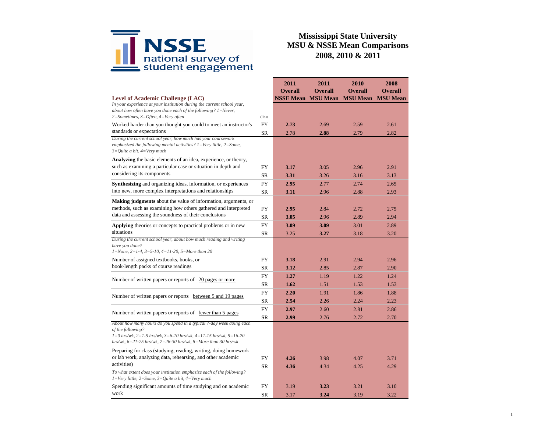

|                                                                                                                                                                                                                                                 |                                                                                                                                                             | 2011                      | 2011           | 2010            | 2008            |
|-------------------------------------------------------------------------------------------------------------------------------------------------------------------------------------------------------------------------------------------------|-------------------------------------------------------------------------------------------------------------------------------------------------------------|---------------------------|----------------|-----------------|-----------------|
|                                                                                                                                                                                                                                                 |                                                                                                                                                             | <b>Overall</b>            | <b>Overall</b> | <b>Overall</b>  | <b>Overall</b>  |
| Level of Academic Challenge (LAC)                                                                                                                                                                                                               |                                                                                                                                                             | <b>NSSE Mean MSU Mean</b> |                | <b>MSU</b> Mean | <b>MSU Mean</b> |
| In your experience at your institution during the current school year,<br>about how often have you done each of the following? $1 =$ Never,                                                                                                     |                                                                                                                                                             |                           |                |                 |                 |
| $2 = Sometimes, 3 = Often, 4 = Very often$                                                                                                                                                                                                      | Class                                                                                                                                                       |                           |                |                 |                 |
| Worked harder than you thought you could to meet an instructor's                                                                                                                                                                                | FY                                                                                                                                                          | 2.73                      | 2.69           | 2.59            | 2.61            |
| standards or expectations                                                                                                                                                                                                                       | <b>SR</b>                                                                                                                                                   | 2.78                      | 2.88           | 2.79            | 2.82            |
| During the current school year, how much has your coursework<br>emphasized the following mental activities? $1 = \text{Very little}, 2 = \text{Some},$<br>$3=Q$ uite a bit, $4=V$ ery much                                                      |                                                                                                                                                             |                           |                |                 |                 |
| <b>Analyzing</b> the basic elements of an idea, experience, or theory,                                                                                                                                                                          |                                                                                                                                                             |                           |                |                 |                 |
| such as examining a particular case or situation in depth and                                                                                                                                                                                   | FY                                                                                                                                                          | 3.17                      | 3.05           | 2.96            | 2.91            |
| considering its components                                                                                                                                                                                                                      | <b>SR</b>                                                                                                                                                   | 3.31                      | 3.26           | 3.16            | 3.13            |
| Synthesizing and organizing ideas, information, or experiences                                                                                                                                                                                  | <b>FY</b>                                                                                                                                                   | 2.95                      | 2.77           | 2.74            | 2.65            |
| into new, more complex interpretations and relationships                                                                                                                                                                                        | <b>SR</b>                                                                                                                                                   | 3.11                      | 2.96           | 2.88            | 2.93            |
| <b>Making judgments</b> about the value of information, arguments, or                                                                                                                                                                           |                                                                                                                                                             |                           |                |                 |                 |
| methods, such as examining how others gathered and interpreted                                                                                                                                                                                  | FY                                                                                                                                                          | 2.95                      | 2.84           | 2.72            | 2.75            |
| data and assessing the soundness of their conclusions                                                                                                                                                                                           | <b>SR</b>                                                                                                                                                   | 3.05                      | 2.96           | 2.89            | 2.94            |
| <b>Applying</b> theories or concepts to practical problems or in new                                                                                                                                                                            | <b>FY</b>                                                                                                                                                   | 3.09                      | 3.09           | 3.01            | 2.89            |
| situations<br>During the current school year, about how much reading and writing                                                                                                                                                                |                                                                                                                                                             | 3.25                      | 3.27           | 3.18            | 3.20            |
| have you done?<br>$1 = None$ , $2 = 1-4$ , $3 = 5-10$ , $4 = 11-20$ , $5 = More than 20$                                                                                                                                                        |                                                                                                                                                             |                           |                |                 |                 |
| Number of assigned textbooks, books, or                                                                                                                                                                                                         | FY                                                                                                                                                          | 3.18                      | 2.91           | 2.94            | 2.96            |
| book-length packs of course readings                                                                                                                                                                                                            | <b>SR</b>                                                                                                                                                   | 3.12                      | 2.85           | 2.87            | 2.90            |
| Number of written papers or reports of 20 pages or more                                                                                                                                                                                         | FY                                                                                                                                                          | 1.27                      | 1.19           | 1.22            | 1.24            |
|                                                                                                                                                                                                                                                 | <b>SR</b>                                                                                                                                                   | 1.62                      | 1.51           | 1.53            | 1.53            |
| Number of written papers or reports between 5 and 19 pages                                                                                                                                                                                      | <b>FY</b>                                                                                                                                                   | 2.20                      | 1.91           | 1.86            | 1.88            |
|                                                                                                                                                                                                                                                 | SR                                                                                                                                                          | 2.54                      | 2.26           | 2.24            | 2.23            |
| Number of written papers or reports of <u>fewer than 5 pages</u>                                                                                                                                                                                | <b>SR</b><br><b>FY</b><br>2.97<br>2.60<br>SR<br>2.99<br>2.76<br>FY<br>4.26<br>3.98<br>SR<br>4.36<br>4.34<br>FY<br>3.19<br>3.23<br><b>SR</b><br>3.17<br>3.24 | 2.81                      | 2.86           |                 |                 |
|                                                                                                                                                                                                                                                 |                                                                                                                                                             |                           |                | 2.72            | 2.70            |
| About how many hours do you spend in a typical 7-day week doing each<br>of the following?<br>$1=0$ hrs/wk, $2=1-5$ hrs/wk, $3=6-10$ hrs/wk, $4=11-15$ hrs/wk, $5=16-20$<br>hrs/wk, $6=21-25$ hrs/wk, $7=26-30$ hrs/wk, $8=$ More than 30 hrs/wk |                                                                                                                                                             |                           |                |                 |                 |
| Preparing for class (studying, reading, writing, doing homework                                                                                                                                                                                 |                                                                                                                                                             |                           |                |                 |                 |
| or lab work, analyzing data, rehearsing, and other academic                                                                                                                                                                                     |                                                                                                                                                             |                           |                | 4.07            | 3.71            |
| activities)                                                                                                                                                                                                                                     |                                                                                                                                                             |                           |                | 4.25            | 4.29            |
| To what extent does your institution emphasize each of the following?<br>$1 = \nV$ ery little, 2=Some, 3=Quite a bit, 4=Very much                                                                                                               |                                                                                                                                                             |                           |                |                 |                 |
| Spending significant amounts of time studying and on academic                                                                                                                                                                                   |                                                                                                                                                             |                           |                | 3.21            | 3.10            |
| work                                                                                                                                                                                                                                            |                                                                                                                                                             |                           |                | 3.19            | 3.22            |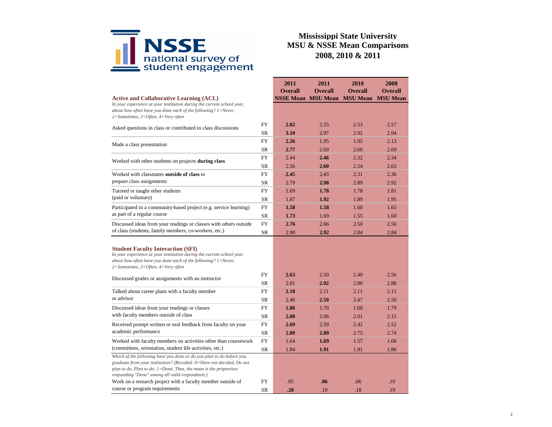

|                                                                                                                                                                                                                                                                         |           | 2011           | 2011                      | 2010            | 2008            |
|-------------------------------------------------------------------------------------------------------------------------------------------------------------------------------------------------------------------------------------------------------------------------|-----------|----------------|---------------------------|-----------------|-----------------|
|                                                                                                                                                                                                                                                                         |           | <b>Overall</b> | <b>Overall</b>            | <b>Overall</b>  | <b>Overall</b>  |
| <b>Active and Collaborative Learning (ACL)</b>                                                                                                                                                                                                                          |           |                | <b>NSSE Mean MSU Mean</b> | <b>MSU Mean</b> | <b>MSU</b> Mean |
| In your experience at your institution during the current school year,<br>about how often have you done each of the following? 1=Never,<br>2=Sometimes, 3=Often, 4=Very often                                                                                           |           |                |                           |                 |                 |
|                                                                                                                                                                                                                                                                         | FY        | 2.82           | 2.55                      | 2.53            | 2.57            |
| Asked questions in class or contributed to class discussions                                                                                                                                                                                                            | <b>SR</b> | 3.10           | 2.97                      | 2.92            | 2.94            |
|                                                                                                                                                                                                                                                                         | <b>FY</b> | 2.26           | 1.95                      | 1.95            | 2.13            |
| Made a class presentation                                                                                                                                                                                                                                               | <b>SR</b> | 2.77           | 2.69                      | 2.60            | 2.69            |
|                                                                                                                                                                                                                                                                         | FY        | 2.44           | 2.46                      | 2.32            | 2.34            |
| Worked with other students on projects during class                                                                                                                                                                                                                     | SR        | 2.56           | 2.60                      | 2.54            | 2.63            |
| Worked with classmates outside of class to                                                                                                                                                                                                                              | FY        | 2.45           | 2.43                      | 2.31            | 2.36            |
| prepare class assignments                                                                                                                                                                                                                                               | SR        | 2.79           | 2.98                      | 2.89            | 2.92            |
| Tutored or taught other students                                                                                                                                                                                                                                        | FY        | 1.69           | 1.78                      | 1.78            | 1.81            |
| (paid or voluntary)                                                                                                                                                                                                                                                     | <b>SR</b> | 1.87           | 1.92                      | 1.89            | 1.95            |
| Participated in a community-based project (e.g. service learning)                                                                                                                                                                                                       | FY        | 1.58           | 1.58                      | 1.60            | 1.65            |
| as part of a regular course                                                                                                                                                                                                                                             | <b>SR</b> | 1.73           | 1.69                      | 1.55            | 1.60            |
| Discussed ideas from your readings or classes with others outside                                                                                                                                                                                                       | <b>FY</b> | 2.76           | 2.66                      | 2.50            | 2.56            |
| of class (students, family members, co-workers, etc.)                                                                                                                                                                                                                   | <b>SR</b> | 2.90           | 2.92                      | 2.84            | 2.84            |
| <b>Student Faculty Interaction (SFI)</b><br>In your experience at your institution during the current school year,<br>about how often have you done each of the following? $1 =$ Never,<br>$2 = Sometimes, 3 = Often, 4 = Very often$                                   |           |                |                           |                 |                 |
| Discussed grades or assignments with an instructor                                                                                                                                                                                                                      | FY        | 2.63           | 2.50                      | 2.49            | 2.56            |
|                                                                                                                                                                                                                                                                         | <b>SR</b> | 2.81           | 2.92                      | 2.80            | 2.88            |
| Talked about career plans with a faculty member                                                                                                                                                                                                                         | FY        | 2.18           | 2.11                      | 2.11            | 2.11            |
| or advisor                                                                                                                                                                                                                                                              | SR        | 2.40           | 2.50                      | 2.47            | 2.50            |
| Discussed ideas from your readings or classes                                                                                                                                                                                                                           | FY        | 1.86           | 1.70                      | 1.68            | 1.79            |
| with faculty members outside of class                                                                                                                                                                                                                                   | SR        | 2.08           | 2.06                      | 2.01            | 2.15            |
| Received prompt written or oral feedback from faculty on your                                                                                                                                                                                                           | FY        | 2.69           | 2.59                      | 2.42            | 2.52            |
| academic performance                                                                                                                                                                                                                                                    | <b>SR</b> | 2.80           | 2.80                      | 2.75            | 2.74            |
| Worked with faculty members on activities other than coursework                                                                                                                                                                                                         | FY        | 1.64           | 1.69                      | 1.57            | 1.68            |
| (committees, orientation, student life activities, etc.)                                                                                                                                                                                                                | <b>SR</b> | 1.84           | 1.91                      | 1.81            | 1.86            |
| Which of the following have you done or do you plan to do before you<br>graduate from your institution? (Recoded: 0=Have not decided, Do not<br>plan to do, Plan to do; $1 =$ Done. Thus, the mean is the proportion<br>responding "Done" among all valid respondents.) |           |                |                           |                 |                 |
| Work on a research project with a faculty member outside of                                                                                                                                                                                                             | FY        | .05            | .06                       | .06             | .10             |
| course or program requirements                                                                                                                                                                                                                                          | <b>SR</b> | .20            | .19                       | .18             | .19             |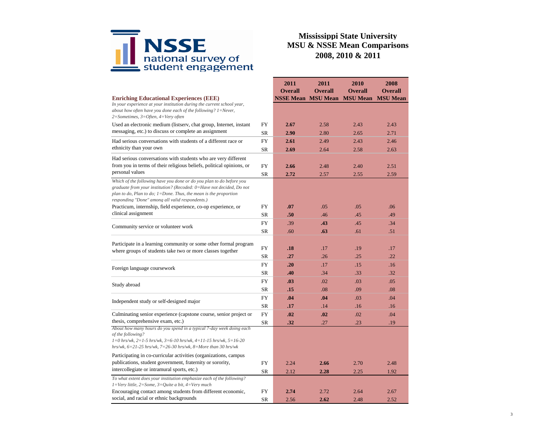

|                                                                                                                                                                                                                                                                         |           | 2011                      | 2011           | 2010            | 2008            |
|-------------------------------------------------------------------------------------------------------------------------------------------------------------------------------------------------------------------------------------------------------------------------|-----------|---------------------------|----------------|-----------------|-----------------|
|                                                                                                                                                                                                                                                                         |           | <b>Overall</b>            | <b>Overall</b> | <b>Overall</b>  | <b>Overall</b>  |
| <b>Enriching Educational Experiences (EEE)</b>                                                                                                                                                                                                                          |           | <b>NSSE Mean MSU Mean</b> |                | <b>MSU</b> Mean | <b>MSU Mean</b> |
| In your experience at your institution during the current school year,<br>about how often have you done each of the following? $l =$ Never,<br>$2 = Sometimes, 3 = Often, 4 = Very often$                                                                               |           |                           |                |                 |                 |
| Used an electronic medium (listserv, chat group, Internet, instant                                                                                                                                                                                                      | FY        | 2.67                      | 2.58           | 2.43            | 2.43            |
| messaging, etc.) to discuss or complete an assignment                                                                                                                                                                                                                   | SR        | 2.90                      | 2.80           | 2.65            | 2.71            |
| Had serious conversations with students of a different race or                                                                                                                                                                                                          | <b>FY</b> | 2.61                      | 2.49           | 2.43            | 2.46            |
| ethnicity than your own                                                                                                                                                                                                                                                 | <b>SR</b> | 2.69                      | 2.64           | 2.58            | 2.63            |
| Had serious conversations with students who are very different                                                                                                                                                                                                          |           |                           |                |                 |                 |
| from you in terms of their religious beliefs, political opinions, or                                                                                                                                                                                                    | FY        | 2.66                      | 2.48           | 2.40            | 2.51            |
| personal values                                                                                                                                                                                                                                                         | <b>SR</b> | 2.72                      | 2.57           | 2.55            | 2.59            |
| Which of the following have you done or do you plan to do before you<br>graduate from your institution? (Recoded: 0=Have not decided, Do not<br>plan to do, Plan to do; $1 =$ Done. Thus, the mean is the proportion<br>responding "Done" among all valid respondents.) |           |                           |                |                 |                 |
| Practicum, internship, field experience, co-op experience, or                                                                                                                                                                                                           | FY        | .07                       | .05            | .05             | .06             |
| clinical assignment                                                                                                                                                                                                                                                     | <b>SR</b> | .50                       | .46            | .45             | .49             |
| Community service or volunteer work                                                                                                                                                                                                                                     |           | .39                       | .43            | .45             | .34             |
|                                                                                                                                                                                                                                                                         |           | .60                       | .63            | .61             | .51             |
| Participate in a learning community or some other formal program<br>where groups of students take two or more classes together                                                                                                                                          | FY        | .18                       | .17            | .19             | .17             |
|                                                                                                                                                                                                                                                                         | <b>SR</b> | .27                       | .26            | .25             | .22             |
| Foreign language coursework                                                                                                                                                                                                                                             | FY        | .20                       | .17            | .15             | .16             |
|                                                                                                                                                                                                                                                                         | <b>SR</b> | .40                       | .34            | .33             | .32             |
| Study abroad                                                                                                                                                                                                                                                            | <b>FY</b> | .03                       | .02            | .03             | .05             |
|                                                                                                                                                                                                                                                                         | SR        | .15                       | .08            | .09             | .08             |
| Independent study or self-designed major                                                                                                                                                                                                                                | FY        | .04                       | .04            | .03             | .04             |
|                                                                                                                                                                                                                                                                         | <b>SR</b> | .17                       | .14            | .16             | .16             |
| Culminating senior experience (capstone course, senior project or                                                                                                                                                                                                       | FY        | .02                       | .02            | .02             | .04             |
| thesis, comprehensive exam, etc.)                                                                                                                                                                                                                                       | SR        | .32                       | .27            | .23             | .19             |
| About how many hours do you spend in a typical 7-day week doing each<br>of the following?<br>$1=0$ hrs/wk, $2=1-5$ hrs/wk, $3=6-10$ hrs/wk, $4=11-15$ hrs/wk, $5=16-20$<br>hrs/wk, $6=21-25$ hrs/wk, $7=26-30$ hrs/wk, $8=$ More than 30 hrs/wk                         |           |                           |                |                 |                 |
| Participating in co-curricular activities (organizations, campus<br>publications, student government, fraternity or sorority,                                                                                                                                           | FY        | 2.24                      | 2.66           | 2.70            | 2.48            |
| intercollegiate or intramural sports, etc.)                                                                                                                                                                                                                             | <b>SR</b> | 2.12                      | 2.28           | 2.25            | 1.92            |
| To what extent does your institution emphasize each of the following?<br>$1 = \text{Very little}, 2 = \text{Some}, 3 = \text{Quite}$ a bit, $4 = \text{Very much}$                                                                                                      |           |                           |                |                 |                 |
| Encouraging contact among students from different economic,<br>social, and racial or ethnic backgrounds                                                                                                                                                                 | FY        | 2.74                      | 2.72           | 2.64            | 2.67            |
|                                                                                                                                                                                                                                                                         | <b>SR</b> | 2.56                      | 2.62           | 2.48            | 2.52            |